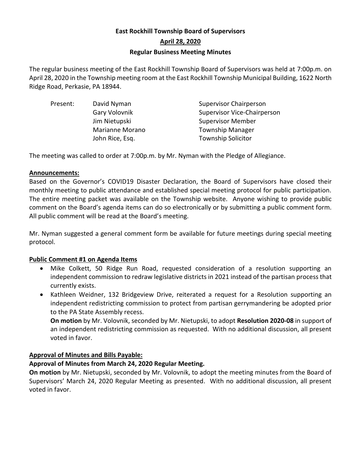# **East Rockhill Township Board of Supervisors April 28, 2020 Regular Business Meeting Minutes**

The regular business meeting of the East Rockhill Township Board of Supervisors was held at 7:00p.m. on April 28, 2020 in the Township meeting room at the East Rockhill Township Municipal Building, 1622 North Ridge Road, Perkasie, PA 18944.

| Present: | David Nyman            | <b>Supervisor Chairperson</b>      |
|----------|------------------------|------------------------------------|
|          | Gary Volovnik          | <b>Supervisor Vice-Chairperson</b> |
|          | Jim Nietupski          | <b>Supervisor Member</b>           |
|          | <b>Marianne Morano</b> | <b>Township Manager</b>            |
|          | John Rice, Esq.        | <b>Township Solicitor</b>          |
|          |                        |                                    |

The meeting was called to order at 7:00p.m. by Mr. Nyman with the Pledge of Allegiance.

# **Announcements:**

Based on the Governor's COVID19 Disaster Declaration, the Board of Supervisors have closed their monthly meeting to public attendance and established special meeting protocol for public participation. The entire meeting packet was available on the Township website. Anyone wishing to provide public comment on the Board's agenda items can do so electronically or by submitting a public comment form. All public comment will be read at the Board's meeting.

Mr. Nyman suggested a general comment form be available for future meetings during special meeting protocol.

# **Public Comment #1 on Agenda Items**

- Mike Colkett, 50 Ridge Run Road, requested consideration of a resolution supporting an independent commission to redraw legislative districts in 2021 instead of the partisan process that currently exists.
- Kathleen Weidner, 132 Bridgeview Drive, reiterated a request for a Resolution supporting an independent redistricting commission to protect from partisan gerrymandering be adopted prior to the PA State Assembly recess.

**On motion** by Mr. Volovnik, seconded by Mr. Nietupski, to adopt **Resolution 2020-08** in support of an independent redistricting commission as requested. With no additional discussion, all present voted in favor.

# **Approval of Minutes and Bills Payable:**

# **Approval of Minutes from March 24, 2020 Regular Meeting.**

**On motion** by Mr. Nietupski, seconded by Mr. Volovnik, to adopt the meeting minutes from the Board of Supervisors' March 24, 2020 Regular Meeting as presented. With no additional discussion, all present voted in favor.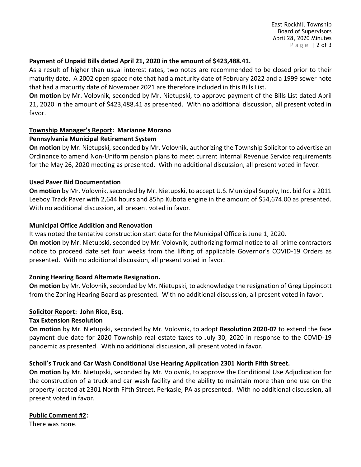East Rockhill Township Board of Supervisors April 28, 2020 Minutes P a g e | 2 of 3

#### **Payment of Unpaid Bills dated April 21, 2020 in the amount of \$423,488.41.**

As a result of higher than usual interest rates, two notes are recommended to be closed prior to their maturity date. A 2002 open space note that had a maturity date of February 2022 and a 1999 sewer note that had a maturity date of November 2021 are therefore included in this Bills List.

**On motion** by Mr. Volovnik, seconded by Mr. Nietupski, to approve payment of the Bills List dated April 21, 2020 in the amount of \$423,488.41 as presented. With no additional discussion, all present voted in favor.

# **Township Manager's Report: Marianne Morano**

# **Pennsylvania Municipal Retirement System**

**On motion** by Mr. Nietupski, seconded by Mr. Volovnik, authorizing the Township Solicitor to advertise an Ordinance to amend Non-Uniform pension plans to meet current Internal Revenue Service requirements for the May 26, 2020 meeting as presented. With no additional discussion, all present voted in favor.

#### **Used Paver Bid Documentation**

**On motion** by Mr. Volovnik, seconded by Mr. Nietupski, to accept U.S. Municipal Supply, Inc. bid for a 2011 Leeboy Track Paver with 2,644 hours and 85hp Kubota engine in the amount of \$54,674.00 as presented. With no additional discussion, all present voted in favor.

#### **Municipal Office Addition and Renovation**

It was noted the tentative construction start date for the Municipal Office is June 1, 2020. **On motion** by Mr. Nietupski, seconded by Mr. Volovnik, authorizing formal notice to all prime contractors notice to proceed date set four weeks from the lifting of applicable Governor's COVID-19 Orders as presented. With no additional discussion, all present voted in favor.

# **Zoning Hearing Board Alternate Resignation.**

**On motion** by Mr. Volovnik, seconded by Mr. Nietupski, to acknowledge the resignation of Greg Lippincott from the Zoning Hearing Board as presented. With no additional discussion, all present voted in favor.

# **Solicitor Report: John Rice, Esq.**

# **Tax Extension Resolution**

**On motion** by Mr. Nietupski, seconded by Mr. Volovnik, to adopt **Resolution 2020-07** to extend the face payment due date for 2020 Township real estate taxes to July 30, 2020 in response to the COVID-19 pandemic as presented. With no additional discussion, all present voted in favor.

# **Scholl's Truck and Car Wash Conditional Use Hearing Application 2301 North Fifth Street.**

**On motion** by Mr. Nietupski, seconded by Mr. Volovnik, to approve the Conditional Use Adjudication for the construction of a truck and car wash facility and the ability to maintain more than one use on the property located at 2301 North Fifth Street, Perkasie, PA as presented. With no additional discussion, all present voted in favor.

# **Public Comment #2:**

There was none.